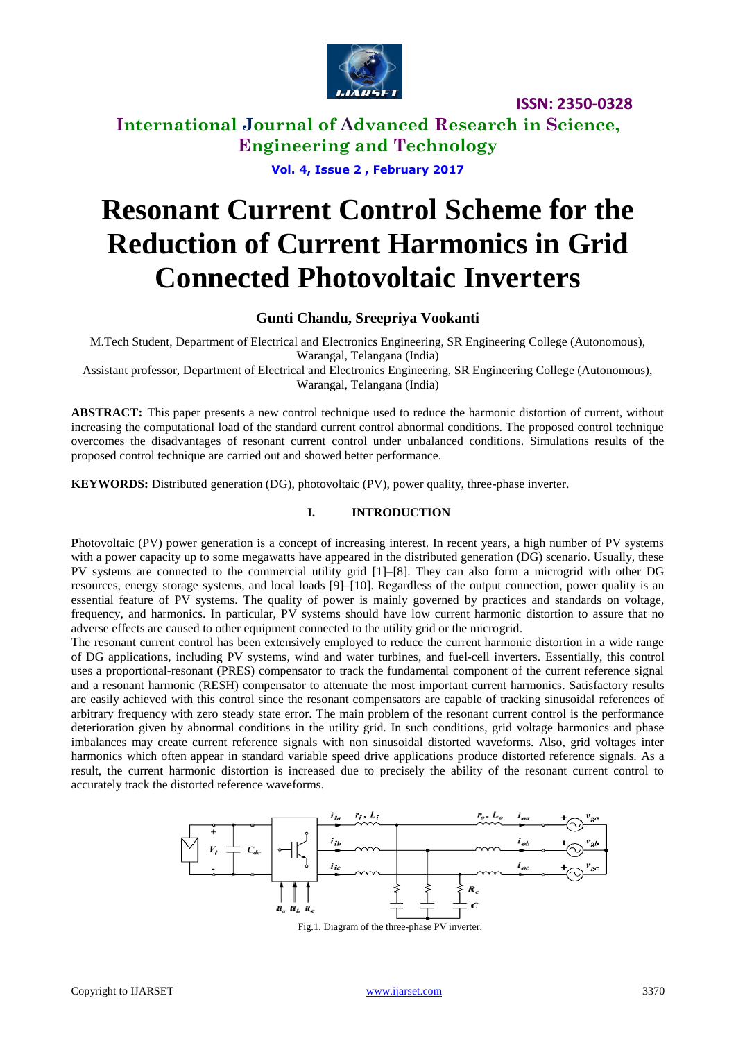

**International Journal of Advanced Research in Science, Engineering and Technology**

**Vol. 4, Issue 2 , February 2017**

# **Resonant Current Control Scheme for the Reduction of Current Harmonics in Grid Connected Photovoltaic Inverters**

## **Gunti Chandu, Sreepriya Vookanti**

M.Tech Student, Department of Electrical and Electronics Engineering, SR Engineering College (Autonomous), Warangal, Telangana (India)

Assistant professor, Department of Electrical and Electronics Engineering, SR Engineering College (Autonomous), Warangal, Telangana (India)

**ABSTRACT:** This paper presents a new control technique used to reduce the harmonic distortion of current, without increasing the computational load of the standard current control abnormal conditions. The proposed control technique overcomes the disadvantages of resonant current control under unbalanced conditions. Simulations results of the proposed control technique are carried out and showed better performance.

**KEYWORDS:** Distributed generation (DG), photovoltaic (PV), power quality, three-phase inverter.

#### **I. INTRODUCTION**

**P**hotovoltaic (PV) power generation is a concept of increasing interest. In recent years, a high number of PV systems with a power capacity up to some megawatts have appeared in the distributed generation (DG) scenario. Usually, these PV systems are connected to the commercial utility grid [1]–[8]. They can also form a microgrid with other DG resources, energy storage systems, and local loads [9]–[10]. Regardless of the output connection, power quality is an essential feature of PV systems. The quality of power is mainly governed by practices and standards on voltage, frequency, and harmonics. In particular, PV systems should have low current harmonic distortion to assure that no adverse effects are caused to other equipment connected to the utility grid or the microgrid.

The resonant current control has been extensively employed to reduce the current harmonic distortion in a wide range of DG applications, including PV systems, wind and water turbines, and fuel-cell inverters. Essentially, this control uses a proportional-resonant (PRES) compensator to track the fundamental component of the current reference signal and a resonant harmonic (RESH) compensator to attenuate the most important current harmonics. Satisfactory results are easily achieved with this control since the resonant compensators are capable of tracking sinusoidal references of arbitrary frequency with zero steady state error. The main problem of the resonant current control is the performance deterioration given by abnormal conditions in the utility grid. In such conditions, grid voltage harmonics and phase imbalances may create current reference signals with non sinusoidal distorted waveforms. Also, grid voltages inter harmonics which often appear in standard variable speed drive applications produce distorted reference signals. As a result, the current harmonic distortion is increased due to precisely the ability of the resonant current control to accurately track the distorted reference waveforms.



Fig.1. Diagram of the three-phase PV inverter.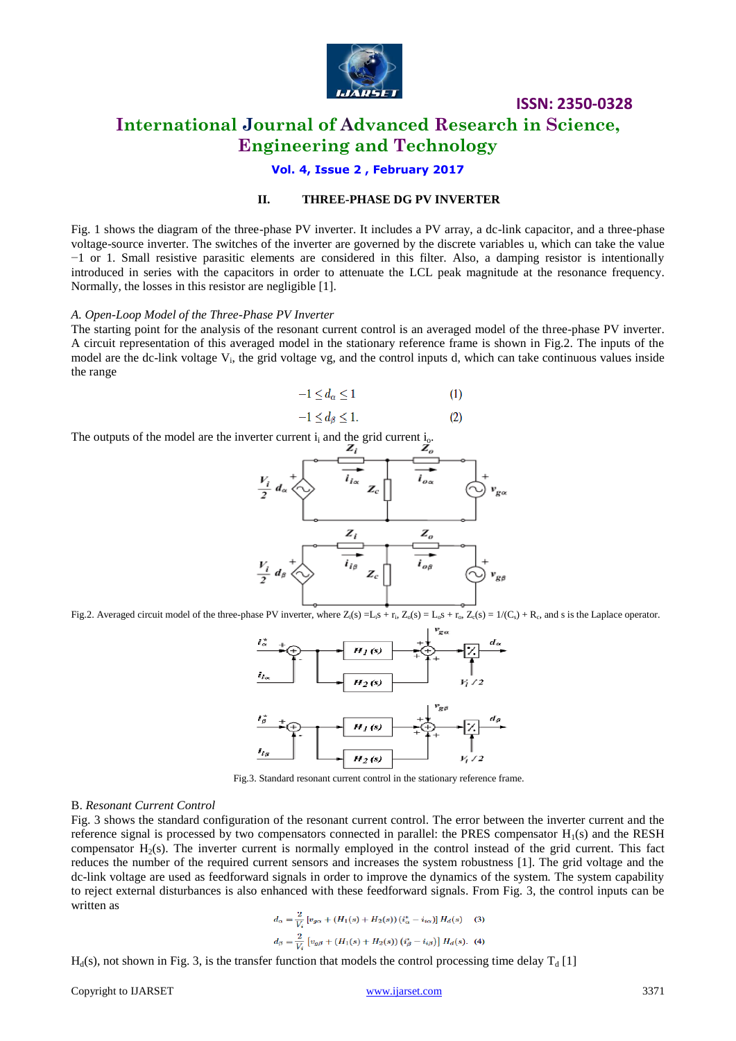

# **International Journal of Advanced Research in Science, Engineering and Technology**

**Vol. 4, Issue 2 , February 2017**

#### **II. THREE-PHASE DG PV INVERTER**

Fig. 1 shows the diagram of the three-phase PV inverter. It includes a PV array, a dc-link capacitor, and a three-phase voltage-source inverter. The switches of the inverter are governed by the discrete variables u, which can take the value −1 or 1. Small resistive parasitic elements are considered in this filter. Also, a damping resistor is intentionally introduced in series with the capacitors in order to attenuate the LCL peak magnitude at the resonance frequency. Normally, the losses in this resistor are negligible [1].

#### *A. Open-Loop Model of the Three-Phase PV Inverter*

The starting point for the analysis of the resonant current control is an averaged model of the three-phase PV inverter. A circuit representation of this averaged model in the stationary reference frame is shown in Fig.2. The inputs of the model are the dc-link voltage V<sub>i</sub>, the grid voltage vg, and the control inputs d, which can take continuous values inside the range

$$
-1 \le d_{\alpha} \le 1 \tag{1}
$$

 $(2)$ 

$$
-1 \le d_{\beta} \le 1.
$$

The outputs of the model are the inverter current  $i_i$  and the grid current  $i_0$ .

$$
\frac{V_i}{2} d_{\alpha} \leftrightarrow \frac{Z_i}{i_{i\alpha}} Z_c \qquad \overrightarrow{i_{i\alpha}} \qquad \overrightarrow{V_{g\alpha}}
$$

Fig.2. Averaged circuit model of the three-phase PV inverter, where  $Z_i(s) = L_i s + r_i$ ,  $Z_o(s) = L_o s + r_o$ ,  $Z_e(s) = 1/(C_s) + R_c$ , and s is the Laplace operator.



Fig.3. Standard resonant current control in the stationary reference frame.

#### B. *Resonant Current Control*

Fig. 3 shows the standard configuration of the resonant current control. The error between the inverter current and the reference signal is processed by two compensators connected in parallel: the PRES compensator  $H_1(s)$  and the RESH compensator  $H<sub>2</sub>(s)$ . The inverter current is normally employed in the control instead of the grid current. This fact reduces the number of the required current sensors and increases the system robustness [1]. The grid voltage and the dc-link voltage are used as feedforward signals in order to improve the dynamics of the system. The system capability to reject external disturbances is also enhanced with these feedforward signals. From Fig. 3, the control inputs can be written as

$$
d_{\alpha} = \frac{2}{V_i} \left[ v_{g\alpha} + (H_1(s) + H_2(s)) \left( i_{\alpha}^* - i_{i\alpha} \right) \right] H_d(s) \quad (3)
$$
  

$$
d_{\beta} = \frac{2}{V_i} \left[ v_{g\beta} + (H_1(s) + H_2(s)) \left( i_{\beta}^* - i_{i\beta} \right) \right] H_d(s). \quad (4)
$$

 $H_d(s)$ , not shown in Fig. 3, is the transfer function that models the control processing time delay  $T_d$  [1]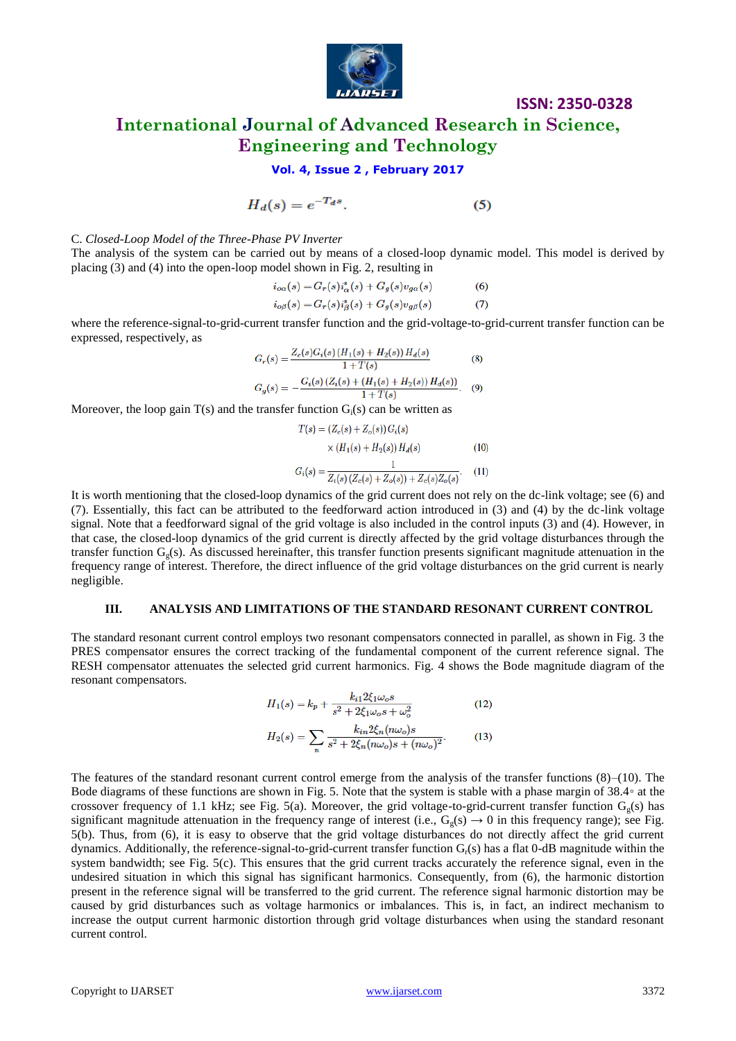

# **International Journal of Advanced Research in Science, Engineering and Technology**

#### **Vol. 4, Issue 2 , February 2017**

$$
H_d(s) = e^{-T_d s}.\tag{5}
$$

C. *Closed-Loop Model of the Three-Phase PV Inverter*

The analysis of the system can be carried out by means of a closed-loop dynamic model. This model is derived by placing (3) and (4) into the open-loop model shown in Fig. 2, resulting in

$$
i_{o\alpha}(s) = G_r(s)i^*_{\alpha}(s) + G_g(s)v_{g\alpha}(s)
$$
\n
$$
i_{o\beta}(s) = G_r(s)i^*_{\beta}(s) + G_g(s)v_{g\beta}(s)
$$
\n(7)

where the reference-signal-to-grid-current transfer function and the grid-voltage-to-grid-current transfer function can be expressed, respectively, as

$$
G_r(s) = \frac{Z_c(s)G_i(s) (H_1(s) + H_2(s)) H_d(s)}{1 + T(s)}
$$
(8)  

$$
G_g(s) = -\frac{G_i(s) (Z_i(s) + (H_1(s) + H_2(s)) H_d(s))}{1 + T(s)}.
$$
(9)

Moreover, the loop gain  $T(s)$  and the transfer function  $G_i(s)$  can be written as

$$
T(s) = (Z_c(s) + Z_o(s)) G_i(s)
$$
  
×  $(H_1(s) + H_2(s)) H_d(s)$  (10)  

$$
G_i(s) = \frac{1}{Z_i(s) (Z_c(s) + Z_o(s)) + Z_c(s) Z_o(s)}.
$$
 (11)

It is worth mentioning that the closed-loop dynamics of the grid current does not rely on the dc-link voltage; see (6) and (7). Essentially, this fact can be attributed to the feedforward action introduced in (3) and (4) by the dc-link voltage signal. Note that a feedforward signal of the grid voltage is also included in the control inputs (3) and (4). However, in that case, the closed-loop dynamics of the grid current is directly affected by the grid voltage disturbances through the transfer function  $G<sub>0</sub>(s)$ . As discussed hereinafter, this transfer function presents significant magnitude attenuation in the frequency range of interest. Therefore, the direct influence of the grid voltage disturbances on the grid current is nearly negligible.

#### **III. ANALYSIS AND LIMITATIONS OF THE STANDARD RESONANT CURRENT CONTROL**

The standard resonant current control employs two resonant compensators connected in parallel, as shown in Fig. 3 the PRES compensator ensures the correct tracking of the fundamental component of the current reference signal. The RESH compensator attenuates the selected grid current harmonics. Fig. 4 shows the Bode magnitude diagram of the resonant compensators.

$$
H_1(s) = k_p + \frac{k_{i1} 2\xi_1 \omega_o s}{s^2 + 2\xi_1 \omega_o s + \omega_o^2}
$$
 (12)

$$
H_2(s) = \sum_{n} \frac{k_{in} 2\xi_n (n\omega_o)s}{s^2 + 2\xi_n (n\omega_o)s + (n\omega_o)^2}.
$$
 (13)

The features of the standard resonant current control emerge from the analysis of the transfer functions  $(8)$ – $(10)$ . The Bode diagrams of these functions are shown in Fig. 5. Note that the system is stable with a phase margin of 38.4◦ at the crossover frequency of 1.1 kHz; see Fig. 5(a). Moreover, the grid voltage-to-grid-current transfer function  $G_g(s)$  has significant magnitude attenuation in the frequency range of interest (i.e.,  $G<sub>g</sub>(s) \rightarrow 0$  in this frequency range); see Fig. 5(b). Thus, from (6), it is easy to observe that the grid voltage disturbances do not directly affect the grid current dynamics. Additionally, the reference-signal-to-grid-current transfer function Gr(s) has a flat 0-dB magnitude within the system bandwidth; see Fig. 5(c). This ensures that the grid current tracks accurately the reference signal, even in the undesired situation in which this signal has significant harmonics. Consequently, from (6), the harmonic distortion present in the reference signal will be transferred to the grid current. The reference signal harmonic distortion may be caused by grid disturbances such as voltage harmonics or imbalances. This is, in fact, an indirect mechanism to increase the output current harmonic distortion through grid voltage disturbances when using the standard resonant current control.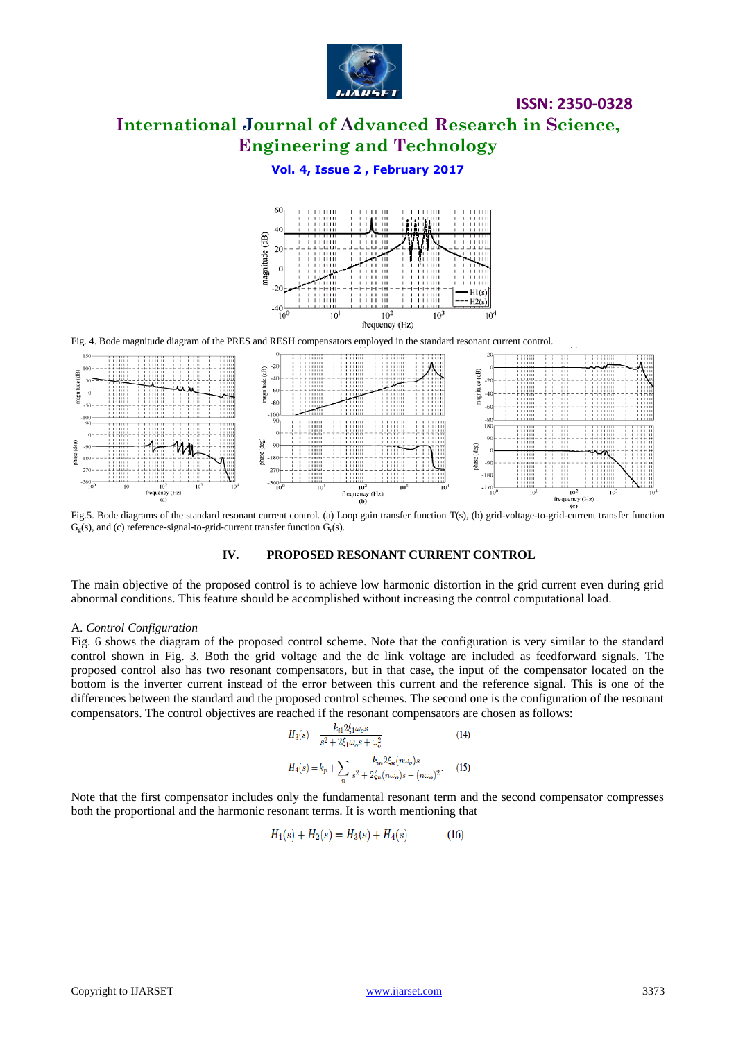

# **International Journal of Advanced Research in Science, Engineering and Technology**

## **Vol. 4, Issue 2 , February 2017**



Fig. 4. Bode magnitude diagram of the PRES and RESH compensators employed in the standard resonant current control.



Fig.5. Bode diagrams of the standard resonant current control. (a) Loop gain transfer function T(s), (b) grid-voltage-to-grid-current transfer function  $G_{g}(s)$ , and (c) reference-signal-to-grid-current transfer function  $G_{r}(s)$ .

#### **IV. PROPOSED RESONANT CURRENT CONTROL**

The main objective of the proposed control is to achieve low harmonic distortion in the grid current even during grid abnormal conditions. This feature should be accomplished without increasing the control computational load.

#### A. *Control Configuration*

Fig. 6 shows the diagram of the proposed control scheme. Note that the configuration is very similar to the standard control shown in Fig. 3. Both the grid voltage and the dc link voltage are included as feedforward signals. The proposed control also has two resonant compensators, but in that case, the input of the compensator located on the bottom is the inverter current instead of the error between this current and the reference signal. This is one of the differences between the standard and the proposed control schemes. The second one is the configuration of the resonant compensators. The control objectives are reached if the resonant compensators are chosen as follows:

$$
H_3(s) = \frac{k_{i1} 2\xi_1 \omega_o s}{s^2 + 2\xi_1 \omega_o s + \omega_o^2}
$$
(14)  

$$
H_4(s) = k_p + \sum_n \frac{k_{in} 2\xi_n (n\omega_o)s}{s^2 + 2\xi_n (n\omega_o)s + (n\omega_o)^2}.
$$
 (15)

Note that the first compensator includes only the fundamental resonant term and the second compensator compresses both the proportional and the harmonic resonant terms. It is worth mentioning that

$$
H_1(s) + H_2(s) = H_3(s) + H_4(s)
$$
\n(16)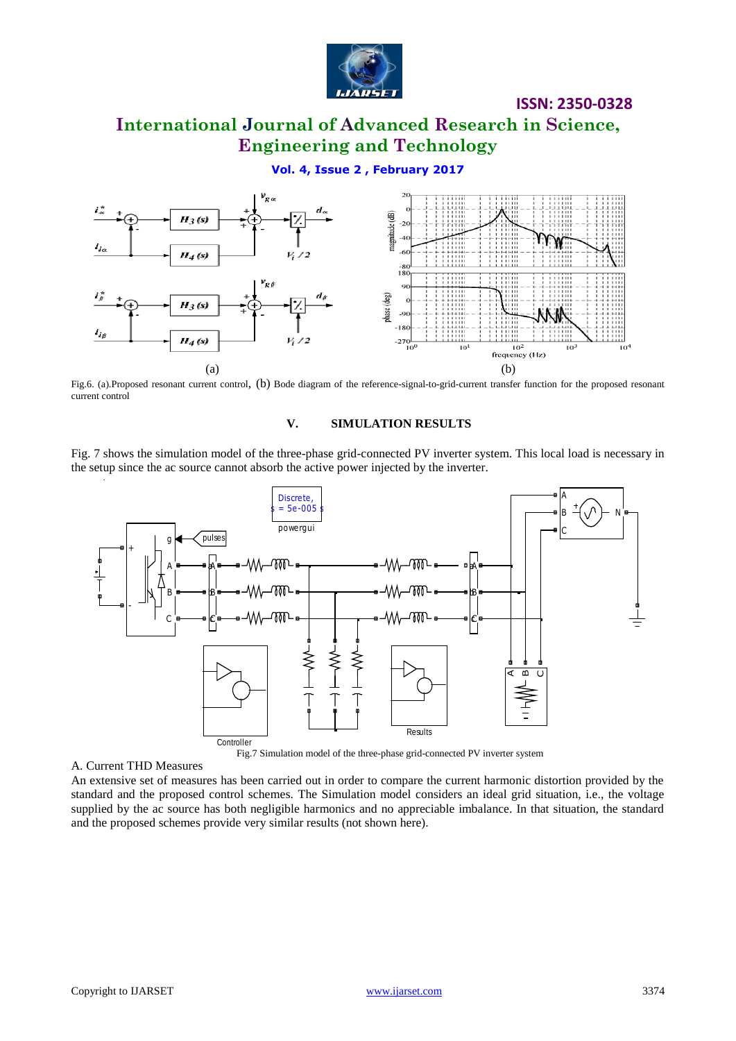

# **International Journal of Advanced Research in Science, Engineering and Technology**

## **Vol. 4, Issue 2 , February 2017**



Fig.6. (a).Proposed resonant current control, (b) Bode diagram of the reference-signal-to-grid-current transfer function for the proposed resonant current control

#### **V. SIMULATION RESULTS**

Fig. 7 shows the simulation model of the three-phase grid-connected PV inverter system. This local load is necessary in the setup since the ac source cannot absorb the active power injected by the inverter.



Fig.7 Simulation model of the three-phase grid-connected PV inverter system

#### A. Current THD Measures

An extensive set of measures has been carried out in order to compare the current harmonic distortion provided by the standard and the proposed control schemes. The Simulation model considers an ideal grid situation, i.e., the voltage supplied by the ac source has both negligible harmonics and no appreciable imbalance. In that situation, the standard and the proposed schemes provide very similar results (not shown here).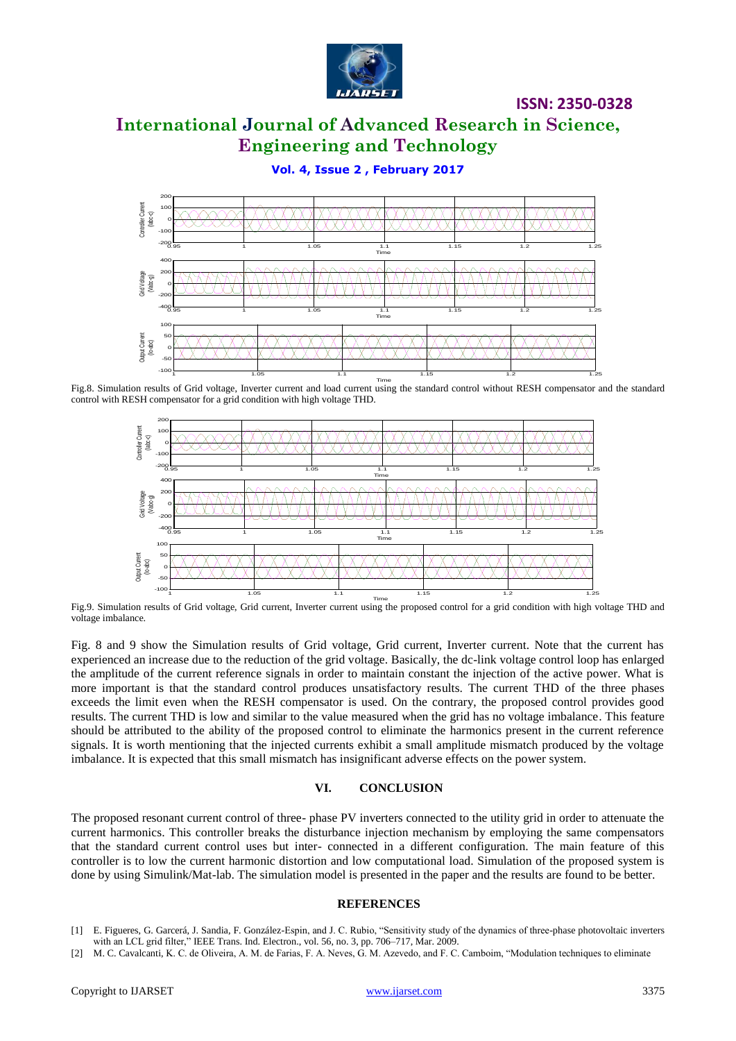

# **International Journal of Advanced Research in Science, Engineering and Technology**

**Vol. 4, Issue 2 , February 2017**



Fig.8. Simulation results of Grid voltage, Inverter current and load current using the standard control without RESH compensator and the standard control with RESH compensator for a grid condition with high voltage THD.



Fig.9. Simulation results of Grid voltage, Grid current, Inverter current using the proposed control for a grid condition with high voltage THD and voltage imbalance.

Fig. 8 and 9 show the Simulation results of Grid voltage, Grid current, Inverter current. Note that the current has experienced an increase due to the reduction of the grid voltage. Basically, the dc-link voltage control loop has enlarged the amplitude of the current reference signals in order to maintain constant the injection of the active power. What is more important is that the standard control produces unsatisfactory results. The current THD of the three phases exceeds the limit even when the RESH compensator is used. On the contrary, the proposed control provides good results. The current THD is low and similar to the value measured when the grid has no voltage imbalance. This feature should be attributed to the ability of the proposed control to eliminate the harmonics present in the current reference signals. It is worth mentioning that the injected currents exhibit a small amplitude mismatch produced by the voltage imbalance. It is expected that this small mismatch has insignificant adverse effects on the power system.

#### **VI. CONCLUSION**

The proposed resonant current control of three- phase PV inverters connected to the utility grid in order to attenuate the current harmonics. This controller breaks the disturbance injection mechanism by employing the same compensators that the standard current control uses but inter- connected in a different configuration. The main feature of this controller is to low the current harmonic distortion and low computational load. Simulation of the proposed system is done by using Simulink/Mat-lab. The simulation model is presented in the paper and the results are found to be better.

#### **REFERENCES**

- [1] E. Figueres, G. Garcerá, J. Sandia, F. González-Espin, and J. C. Rubio, "Sensitivity study of the dynamics of three-phase photovoltaic inverters with an LCL grid filter," IEEE Trans. Ind. Electron., vol. 56, no. 3, pp. 706-717, Mar. 2009.
- [2] M. C. Cavalcanti, K. C. de Oliveira, A. M. de Farias, F. A. Neves, G. M. Azevedo, and F. C. Camboim, "Modulation techniques to eliminate